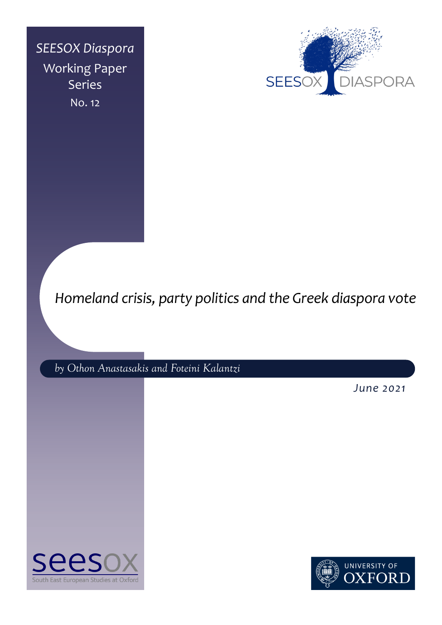*SEESOX Diaspora* Working Paper Series No. 12



# *Homeland crisis, party politics and the Greek diaspora vote*

*by Othon Anastasakis and Foteini Kalantzi*

*June 2021*



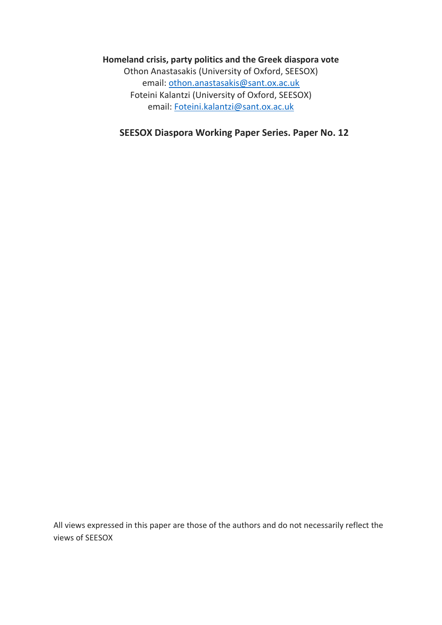# **Homeland crisis, party politics and the Greek diaspora vote**

Othon Anastasakis (University of Oxford, SEESOX) email: [othon.anastasakis@sant.ox.ac.uk](mailto:othon.anastasakis@sant.ox.ac.uk) Foteini Kalantzi (University of Oxford, SEESOX) email: [Foteini.kalantzi@sant.ox.ac.uk](mailto:Foteini.kalantzi@sant.ox.ac.uk)

**SEESOX Diaspora Working Paper Series. Paper No. 12**

All views expressed in this paper are those of the authors and do not necessarily reflect the views of SEESOX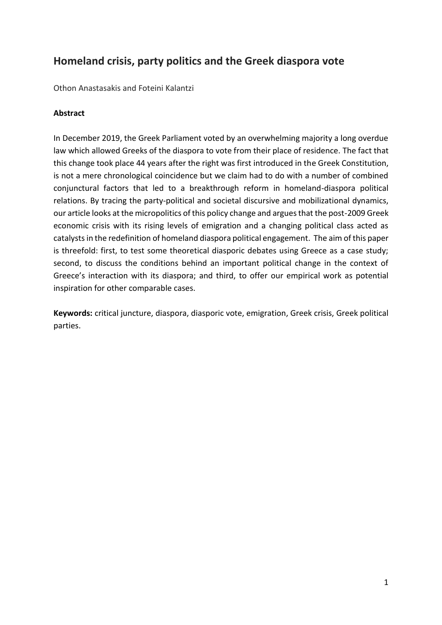# **Homeland crisis, party politics and the Greek diaspora vote**

Othon Anastasakis and Foteini Kalantzi

# **Abstract**

In December 2019, the Greek Parliament voted by an overwhelming majority a long overdue law which allowed Greeks of the diaspora to vote from their place of residence. The fact that this change took place 44 years after the right was first introduced in the Greek Constitution, is not a mere chronological coincidence but we claim had to do with a number of combined conjunctural factors that led to a breakthrough reform in homeland-diaspora political relations. By tracing the party-political and societal discursive and mobilizational dynamics, our article looks at the micropolitics of this policy change and argues that the post-2009 Greek economic crisis with its rising levels of emigration and a changing political class acted as catalysts in the redefinition of homeland diaspora political engagement. The aim of this paper is threefold: first, to test some theoretical diasporic debates using Greece as a case study; second, to discuss the conditions behind an important political change in the context of Greece's interaction with its diaspora; and third, to offer our empirical work as potential inspiration for other comparable cases.

**Keywords:** critical juncture, diaspora, diasporic vote, emigration, Greek crisis, Greek political parties.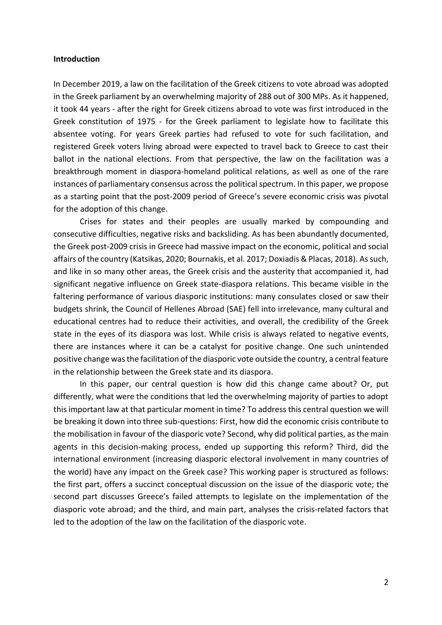#### **Introduction**

In December 2019, a law on the facilitation of the Greek citizens to vote abroad was adopted in the Greek parliament by an overwhelming majority of 288 out of 300 MPs. As it happened, it took 44 years - after the right for Greek citizens abroad to vote was first introduced in the Greek constitution of 1975 - for the Greek parliament to legislate how to facilitate this absentee voting. For years Greek parties had refused to vote for such facilitation, and registered Greek voters living abroad were expected to travel back to Greece to cast their ballot in the national elections. From that perspective, the law on the facilitation was a breakthrough moment in diaspora-homeland political relations, as well as one of the rare instances of parliamentary consensus across the political spectrum. In this paper, we propose as a starting point that the post-2009 period of Greece's severe economic crisis was pivotal for the adoption of this change.

Crises for states and their peoples are usually marked by compounding and consecutive difficulties, negative risks and backsliding. As has been abundantly documented, the Greek post-2009 crisis in Greece had massive impact on the economic, political and social affairs of the country (Katsikas, 2020; Bournakis, et al. 2017; Doxiadis & Placas, 2018). As such, and like in so many other areas, the Greek crisis and the austerity that accompanied it, had significant negative influence on Greek state-diaspora relations. This became visible in the faltering performance of various diasporic institutions: many consulates closed or saw their budgets shrink, the Council of Hellenes Abroad (SAE) fell into irrelevance, many cultural and educational centres had to reduce their activities, and overall, the credibility of the Greek state in the eyes of its diaspora was lost. While crisis is always related to negative events, there are instances where it can be a catalyst for positive change. One such unintended positive change was the facilitation of the diasporic vote outside the country, a central feature in the relationship between the Greek state and its diaspora.

In this paper, our central question is how did this change came about? Or, put differently, what were the conditions that led the overwhelming majority of parties to adopt this important law at that particular moment in time? To address this central question we will be breaking it down into three sub-questions: First, how did the economic crisis contribute to the mobilisation in favour of the diasporic vote? Second, why did political parties, as the main agents in this decision-making process, ended up supporting this reform? Third, did the international environment (increasing diasporic electoral involvement in many countries of the world) have any impact on the Greek case? This working paper is structured as follows: the first part, offers a succinct conceptual discussion on the issue of the diasporic vote; the second part discusses Greece's failed attempts to legislate on the implementation of the diasporic vote abroad; and the third, and main part, analyses the crisis-related factors that led to the adoption of the law on the facilitation of the diasporic vote.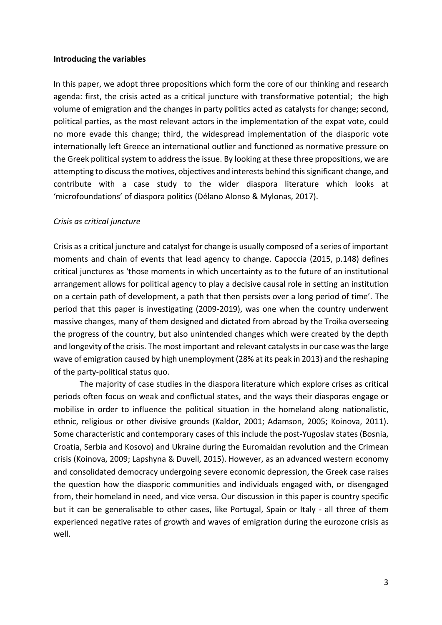### **Introducing the variables**

In this paper, we adopt three propositions which form the core of our thinking and research agenda: first, the crisis acted as a critical juncture with transformative potential; the high volume of emigration and the changes in party politics acted as catalysts for change; second, political parties, as the most relevant actors in the implementation of the expat vote, could no more evade this change; third, the widespread implementation of the diasporic vote internationally left Greece an international outlier and functioned as normative pressure on the Greek political system to address the issue. By looking at these three propositions, we are attempting to discussthe motives, objectives and interests behind thissignificant change, and contribute with a case study to the wider diaspora literature which looks at 'microfoundations' of diaspora politics (Délano Alonso & Mylonas, 2017).

### *Crisis as critical juncture*

Crisis as a critical juncture and catalyst for change is usually composed of a series of important moments and chain of events that lead agency to change. Capoccia (2015, p.148) defines critical junctures as 'those moments in which uncertainty as to the future of an institutional arrangement allows for political agency to play a decisive causal role in setting an institution on a certain path of development, a path that then persists over a long period of time'. The period that this paper is investigating (2009-2019), was one when the country underwent massive changes, many of them designed and dictated from abroad by the Troika overseeing the progress of the country, but also unintended changes which were created by the depth and longevity of the crisis. The most important and relevant catalysts in our case was the large wave of emigration caused by high unemployment (28% at its peak in 2013) and the reshaping of the party-political status quo.

The majority of case studies in the diaspora literature which explore crises as critical periods often focus on weak and conflictual states, and the ways their diasporas engage or mobilise in order to influence the political situation in the homeland along nationalistic, ethnic, religious or other divisive grounds (Kaldor, 2001; Adamson, 2005; Koinova, 2011). Some characteristic and contemporary cases of this include the post-Yugoslav states (Bosnia, Croatia, Serbia and Kosovo) and Ukraine during the Euromaidan revolution and the Crimean crisis (Koinova, 2009; Lapshyna & Duvell, 2015). However, as an advanced western economy and consolidated democracy undergoing severe economic depression, the Greek case raises the question how the diasporic communities and individuals engaged with, or disengaged from, their homeland in need, and vice versa. Our discussion in this paper is country specific but it can be generalisable to other cases, like Portugal, Spain or Italy - all three of them experienced negative rates of growth and waves of emigration during the eurozone crisis as well.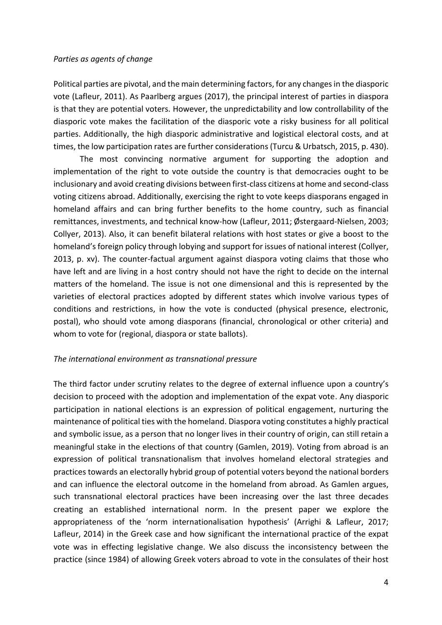### *Parties as agents of change*

Political parties are pivotal, and the main determining factors, for any changes in the diasporic vote (Lafleur, 2011). As Paarlberg argues (2017), the principal interest of parties in diaspora is that they are potential voters. However, the unpredictability and low controllability of the diasporic vote makes the facilitation of the diasporic vote a risky business for all political parties. Additionally, the high diasporic administrative and logistical electoral costs, and at times, the low participation rates are further considerations(Turcu & Urbatsch, 2015, p. 430).

The most convincing normative argument for supporting the adoption and implementation of the right to vote outside the country is that democracies ought to be inclusionary and avoid creating divisions between first-class citizens at home and second-class voting citizens abroad. Additionally, exercising the right to vote keeps diasporans engaged in homeland affairs and can bring further benefits to the home country, such as financial remittances, investments, and technical know-how (Lafleur, 2011; Østergaard‐Nielsen, 2003; Collyer, 2013). Also, it can benefit bilateral relations with host states or give a boost to the homeland's foreign policy through lobying and support for issues of national interest (Collyer, 2013, p. xv). The counter-factual argument against diaspora voting claims that those who have left and are living in a host contry should not have the right to decide on the internal matters of the homeland. The issue is not one dimensional and this is represented by the varieties of electoral practices adopted by different states which involve various types of conditions and restrictions, in how the vote is conducted (physical presence, electronic, postal), who should vote among diasporans (financial, chronological or other criteria) and whom to vote for (regional, diaspora or state ballots).

### *The international environment as transnational pressure*

The third factor under scrutiny relates to the degree of external influence upon a country's decision to proceed with the adoption and implementation of the expat vote. Any diasporic participation in national elections is an expression of political engagement, nurturing the maintenance of political ties with the homeland. Diaspora voting constitutes a highly practical and symbolic issue, as a person that no longer lives in their country of origin, can still retain a meaningful stake in the elections of that country (Gamlen, 2019). Voting from abroad is an expression of political transnationalism that involves homeland electoral strategies and practices towards an electorally hybrid group of potential voters beyond the national borders and can influence the electoral outcome in the homeland from abroad. As Gamlen argues, such transnational electoral practices have been increasing over the last three decades creating an established international norm. In the present paper we explore the appropriateness of the 'norm internationalisation hypothesis' (Arrighi & Lafleur, 2017; Lafleur, 2014) in the Greek case and how significant the international practice of the expat vote was in effecting legislative change. We also discuss the inconsistency between the practice (since 1984) of allowing Greek voters abroad to vote in the consulates of their host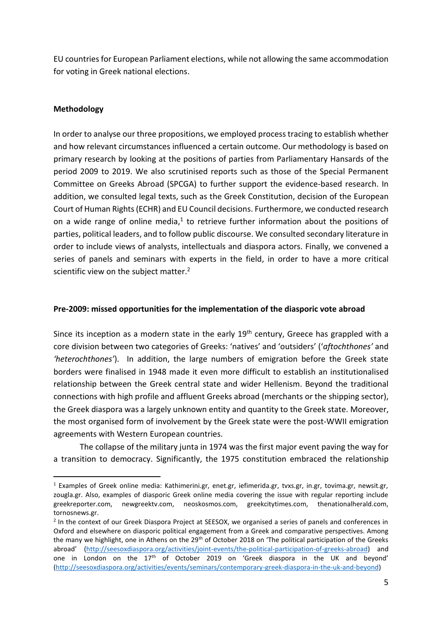EU countries for European Parliament elections, while not allowing the same accommodation for voting in Greek national elections.

# **Methodology**

In order to analyse our three propositions, we employed process tracing to establish whether and how relevant circumstances influenced a certain outcome. Our methodology is based on primary research by looking at the positions of parties from Parliamentary Hansards of the period 2009 to 2019. We also scrutinised reports such as those of the Special Permanent Committee on Greeks Abroad (SPCGA) to further support the evidence-based research. In addition, we consulted legal texts, such as the Greek Constitution, decision of the European Court of Human Rights (ECHR) and EU Council decisions. Furthermore, we conducted research on a wide range of online media, $^1$  to retrieve further information about the positions of parties, political leaders, and to follow public discourse. We consulted secondary literature in order to include views of analysts, intellectuals and diaspora actors. Finally, we convened a series of panels and seminars with experts in the field, in order to have a more critical scientific view on the subject matter.<sup>2</sup>

# **Pre-2009: missed opportunities for the implementation of the diasporic vote abroad**

Since its inception as a modern state in the early  $19<sup>th</sup>$  century, Greece has grappled with a core division between two categories of Greeks: 'natives' and 'outsiders' ('*aftochthones'* and *'heterochthones'*). In addition, the large numbers of emigration before the Greek state borders were finalised in 1948 made it even more difficult to establish an institutionalised relationship between the Greek central state and wider Hellenism. Beyond the traditional connections with high profile and affluent Greeks abroad (merchants or the shipping sector), the Greek diaspora was a largely unknown entity and quantity to the Greek state. Moreover, the most organised form of involvement by the Greek state were the post-WWII emigration agreements with Western European countries.

The collapse of the military junta in 1974 was the first major event paving the way for a transition to democracy. Significantly, the 1975 constitution embraced the relationship

<sup>&</sup>lt;sup>1</sup> Examples of Greek online media: Kathimerini.gr, enet.gr, iefimerida.gr, tvxs.gr, in.gr, tovima.gr, newsit.gr, zougla.gr. Also, examples of diasporic Greek online media covering the issue with regular reporting include greekreporter.com, newgreektv.com, neoskosmos.com, greekcitytimes.com, thenationalherald.com, tornosnews.gr.

<sup>&</sup>lt;sup>2</sup> In the context of our Greek Diaspora Project at SEESOX, we organised a series of panels and conferences in Oxford and elsewhere on diasporic political engagement from a Greek and comparative perspectives. Among the many we highlight, one in Athens on the 29<sup>th</sup> of October 2018 on 'The political participation of the Greeks abroad' ([http://seesoxdiaspora.org/activities/joint-events/the-political-participation-of-greeks-abroad\)](http://seesoxdiaspora.org/activities/joint-events/the-political-participation-of-greeks-abroad) and one in London on the 17<sup>th</sup> of October 2019 on 'Greek diaspora in the UK and beyond' [\(http://seesoxdiaspora.org/activities/events/seminars/contemporary-greek-diaspora-in-the-uk-and-beyond\)](http://seesoxdiaspora.org/activities/events/seminars/contemporary-greek-diaspora-in-the-uk-and-beyond)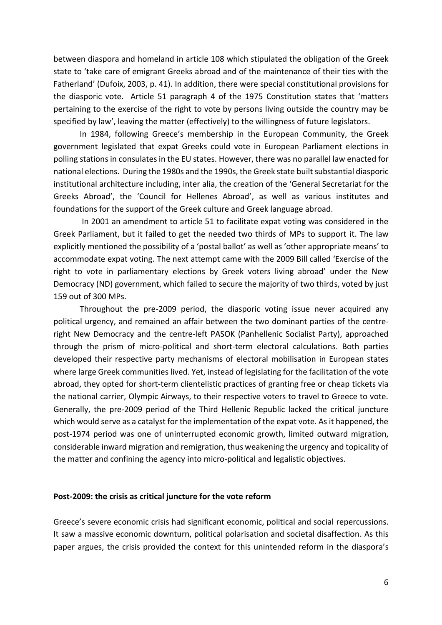between diaspora and homeland in article 108 which stipulated the obligation of the Greek state to 'take care of emigrant Greeks abroad and of the maintenance of their ties with the Fatherland' (Dufoix, 2003, p. 41). In addition, there were special constitutional provisions for the diasporic vote. Article 51 paragraph 4 of the 1975 Constitution states that 'matters pertaining to the exercise of the right to vote by persons living outside the country may be specified by law', leaving the matter (effectively) to the willingness of future legislators.

In 1984, following Greece's membership in the European Community, the Greek government legislated that expat Greeks could vote in European Parliament elections in polling stations in consulates in the EU states. However, there was no parallel law enacted for national elections. During the 1980s and the 1990s, the Greek state built substantial diasporic institutional architecture including, inter alia, the creation of the 'General Secretariat for the Greeks Abroad', the 'Council for Hellenes Abroad', as well as various institutes and foundations for the support of the Greek culture and Greek language abroad.

In 2001 an amendment to article 51 to facilitate expat voting was considered in the Greek Parliament, but it failed to get the needed two thirds of MPs to support it. The law explicitly mentioned the possibility of a 'postal ballot' as well as 'other appropriate means' to accommodate expat voting. The next attempt came with the 2009 Bill called 'Exercise of the right to vote in parliamentary elections by Greek voters living abroad' under the New Democracy (ND) government, which failed to secure the majority of two thirds, voted by just 159 out of 300 MPs.

Throughout the pre-2009 period, the diasporic voting issue never acquired any political urgency, and remained an affair between the two dominant parties of the centreright New Democracy and the centre-left PASOK (Panhellenic Socialist Party), approached through the prism of micro-political and short-term electoral calculations. Both parties developed their respective party mechanisms of electoral mobilisation in European states where large Greek communities lived. Yet, instead of legislating for the facilitation of the vote abroad, they opted for short-term clientelistic practices of granting free or cheap tickets via the national carrier, Olympic Airways, to their respective voters to travel to Greece to vote. Generally, the pre-2009 period of the Third Hellenic Republic lacked the critical juncture which would serve as a catalyst for the implementation of the expat vote. As it happened, the post-1974 period was one of uninterrupted economic growth, limited outward migration, considerable inward migration and remigration, thus weakening the urgency and topicality of the matter and confining the agency into micro-political and legalistic objectives.

#### **Post-2009: the crisis as critical juncture for the vote reform**

Greece's severe economic crisis had significant economic, political and social repercussions. It saw a massive economic downturn, political polarisation and societal disaffection. As this paper argues, the crisis provided the context for this unintended reform in the diaspora's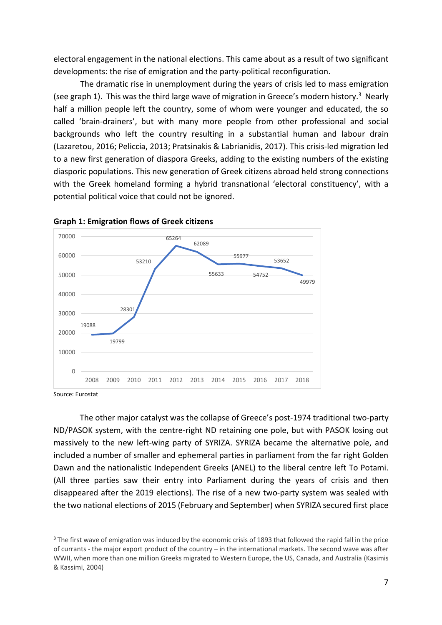electoral engagement in the national elections. This came about as a result of two significant developments: the rise of emigration and the party-political reconfiguration.

The dramatic rise in unemployment during the years of crisis led to mass emigration (see graph 1). This was the third large wave of migration in Greece's modern history.<sup>3</sup> Nearly half a million people left the country, some of whom were younger and educated, the so called 'brain-drainers', but with many more people from other professional and social backgrounds who left the country resulting in a substantial human and labour drain (Lazaretou, 2016; Peliccia, 2013; Pratsinakis & Labrianidis, 2017). This crisis-led migration led to a new first generation of diaspora Greeks, adding to the existing numbers of the existing diasporic populations. This new generation of Greek citizens abroad held strong connections with the Greek homeland forming a hybrid transnational 'electoral constituency', with a potential political voice that could not be ignored.





Source: Eurostat

The other major catalyst was the collapse of Greece's post-1974 traditional two-party ND/PASOK system, with the centre-right ND retaining one pole, but with PASOK losing out massively to the new left-wing party of SYRIZA. SYRIZA became the alternative pole, and included a number of smaller and ephemeral parties in parliament from the far right Golden Dawn and the nationalistic Independent Greeks (ANEL) to the liberal centre left To Potami. (All three parties saw their entry into Parliament during the years of crisis and then disappeared after the 2019 elections). The rise of a new two-party system was sealed with the two national elections of 2015 (February and September) when SYRIZA secured first place

<sup>&</sup>lt;sup>3</sup> The first wave of emigration was induced by the economic crisis of 1893 that followed the rapid fall in the price of currants - the major export product of the country – in the international markets. The second wave was after WWII, when more than one million Greeks migrated to Western Europe, the US, Canada, and Australia (Kasimis & Kassimi, 2004)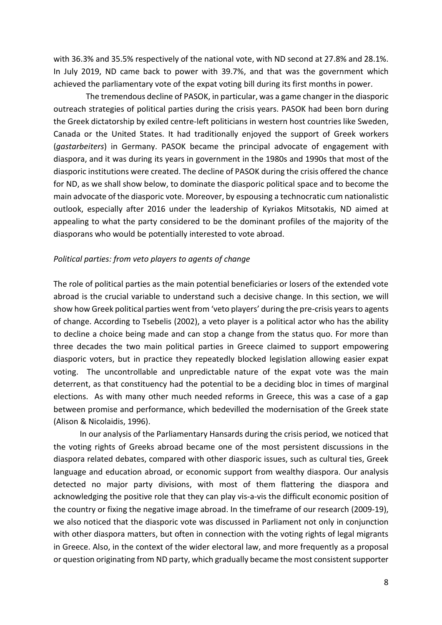with 36.3% and 35.5% respectively of the national vote, with ND second at 27.8% and 28.1%. In July 2019, ND came back to power with 39.7%, and that was the government which achieved the parliamentary vote of the expat voting bill during its first months in power.

 The tremendous decline of PASOK, in particular, was a game changer in the diasporic outreach strategies of political parties during the crisis years. PASOK had been born during the Greek dictatorship by exiled centre-left politicians in western host countries like Sweden, Canada or the United States. It had traditionally enjoyed the support of Greek workers (*gastarbeiters*) in Germany. PASOK became the principal advocate of engagement with diaspora, and it was during its years in government in the 1980s and 1990s that most of the diasporic institutions were created. The decline of PASOK during the crisis offered the chance for ND, as we shall show below, to dominate the diasporic political space and to become the main advocate of the diasporic vote. Moreover, by espousing a technocratic cum nationalistic outlook, especially after 2016 under the leadership of Kyriakos Mitsotakis, ND aimed at appealing to what the party considered to be the dominant profiles of the majority of the diasporans who would be potentially interested to vote abroad.

### *Political parties: from veto players to agents of change*

The role of political parties as the main potential beneficiaries or losers of the extended vote abroad is the crucial variable to understand such a decisive change. In this section, we will show how Greek political parties went from 'veto players' during the pre-crisis years to agents of change. According to Tsebelis (2002), a veto player is a political actor who has the ability to decline a choice being made and can stop a change from the status quo. For more than three decades the two main political parties in Greece claimed to support empowering diasporic voters, but in practice they repeatedly blocked legislation allowing easier expat voting. The uncontrollable and unpredictable nature of the expat vote was the main deterrent, as that constituency had the potential to be a deciding bloc in times of marginal elections. As with many other much needed reforms in Greece, this was a case of a gap between promise and performance, which bedevilled the modernisation of the Greek state (Alison & Nicolaidis, 1996).

In our analysis of the Parliamentary Hansards during the crisis period, we noticed that the voting rights of Greeks abroad became one of the most persistent discussions in the diaspora related debates, compared with other diasporic issues, such as cultural ties, Greek language and education abroad, or economic support from wealthy diaspora. Our analysis detected no major party divisions, with most of them flattering the diaspora and acknowledging the positive role that they can play vis-a-vis the difficult economic position of the country or fixing the negative image abroad. In the timeframe of our research (2009-19), we also noticed that the diasporic vote was discussed in Parliament not only in conjunction with other diaspora matters, but often in connection with the voting rights of legal migrants in Greece. Also, in the context of the wider electoral law, and more frequently as a proposal or question originating from ND party, which gradually became the most consistent supporter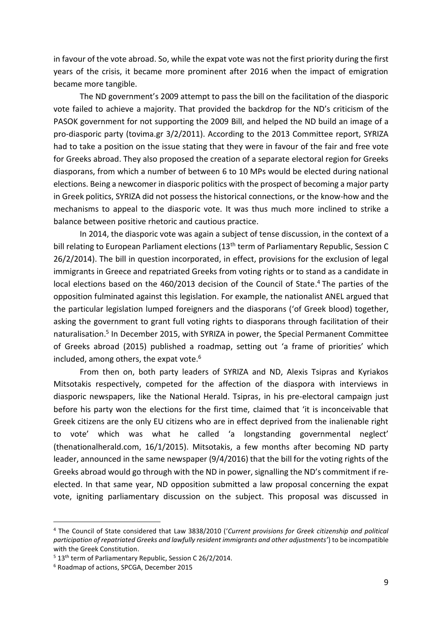in favour of the vote abroad. So, while the expat vote was not the first priority during the first years of the crisis, it became more prominent after 2016 when the impact of emigration became more tangible.

The ND government's 2009 attempt to pass the bill on the facilitation of the diasporic vote failed to achieve a majority. That provided the backdrop for the ND's criticism of the PASOK government for not supporting the 2009 Bill, and helped the ND build an image of a pro-diasporic party (tovima.gr 3/2/2011). According to the 2013 Committee report, SYRIZA had to take a position on the issue stating that they were in favour of the fair and free vote for Greeks abroad. They also proposed the creation of a separate electoral region for Greeks diasporans, from which a number of between 6 to 10 MPs would be elected during national elections. Being a newcomer in diasporic politics with the prospect of becoming a major party in Greek politics, SYRIZA did not possess the historical connections, or the know-how and the mechanisms to appeal to the diasporic vote. It was thus much more inclined to strike a balance between positive rhetoric and cautious practice.

In 2014, the diasporic vote was again a subject of tense discussion, in the context of a bill relating to European Parliament elections (13<sup>th</sup> term of Parliamentary Republic, Session C 26/2/2014). The bill in question incorporated, in effect, provisions for the exclusion of legal immigrants in Greece and repatriated Greeks from voting rights or to stand as a candidate in local elections based on the 460/2013 decision of the Council of State. <sup>4</sup> The parties of the opposition fulminated against this legislation. For example, the nationalist ANEL argued that the particular legislation lumped foreigners and the diasporans ('of Greek blood) together, asking the government to grant full voting rights to diasporans through facilitation of their naturalisation. 5 In December 2015, with SYRIZA in power, the Special Permanent Committee of Greeks abroad (2015) published a roadmap, setting out 'a frame of priorities' which included, among others, the expat vote. $6\overline{6}$ 

From then on, both party leaders of SYRIZA and ND, Alexis Tsipras and Kyriakos Mitsotakis respectively, competed for the affection of the diaspora with interviews in diasporic newspapers, like the National Herald. Tsipras, in his pre-electoral campaign just before his party won the elections for the first time, claimed that 'it is inconceivable that Greek citizens are the only EU citizens who are in effect deprived from the inalienable right to vote' which was what he called 'a longstanding governmental neglect' (thenationalherald.com, 16/1/2015). Mitsotakis, a few months after becoming ND party leader, announced in the same newspaper (9/4/2016) that the bill for the voting rights of the Greeks abroad would go through with the ND in power, signalling the ND's commitment if reelected. In that same year, ND opposition submitted a law proposal concerning the expat vote, igniting parliamentary discussion on the subject. This proposal was discussed in

<sup>4</sup> The Council of State considered that Law 3838/2010 ('*Current provisions for Greek citizenship and political participation of repatriated Greeks and lawfully resident immigrants and other adjustments'*) to be incompatible with the Greek Constitution.

 $5$  13<sup>th</sup> term of Parliamentary Republic, Session C 26/2/2014.

<sup>6</sup> Roadmap of actions, SPCGA, December 2015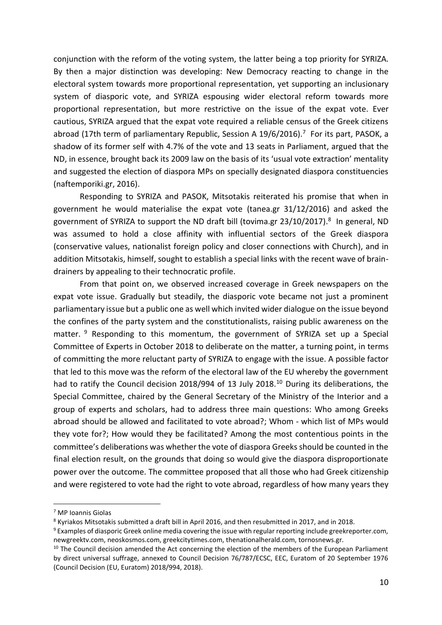conjunction with the reform of the voting system, the latter being a top priority for SYRIZA. By then a major distinction was developing: New Democracy reacting to change in the electoral system towards more proportional representation, yet supporting an inclusionary system of diasporic vote, and SYRIZA espousing wider electoral reform towards more proportional representation, but more restrictive on the issue of the expat vote. Ever cautious, SYRIZA argued that the expat vote required a reliable census of the Greek citizens abroad (17th term of parliamentary Republic, Session A 19/6/2016).<sup>7</sup> For its part, PASOK, a shadow of its former self with 4.7% of the vote and 13 seats in Parliament, argued that the ND, in essence, brought back its 2009 law on the basis of its 'usual vote extraction' mentality and suggested the election of diaspora MPs on specially designated diaspora constituencies (naftemporiki.gr, 2016).

Responding to SYRIZA and PASOK, Mitsotakis reiterated his promise that when in government he would materialise the expat vote (tanea.gr 31/12/2016) and asked the government of SYRIZA to support the ND draft bill (tovima.gr 23/10/2017). 8 In general, ND was assumed to hold a close affinity with influential sectors of the Greek diaspora (conservative values, nationalist foreign policy and closer connections with Church), and in addition Mitsotakis, himself, sought to establish a special links with the recent wave of braindrainers by appealing to their technocratic profile.

From that point on, we observed increased coverage in Greek newspapers on the expat vote issue. Gradually but steadily, the diasporic vote became not just a prominent parliamentary issue but a public one as well which invited wider dialogue on the issue beyond the confines of the party system and the constitutionalists, raising public awareness on the matter. <sup>9</sup> Responding to this momentum, the government of SYRIZA set up a Special Committee of Experts in October 2018 to deliberate on the matter, a turning point, in terms of committing the more reluctant party of SYRIZA to engage with the issue. A possible factor that led to this move was the reform of the electoral law of the EU whereby the government had to ratify the Council decision 2018/994 of 13 July 2018.<sup>10</sup> During its deliberations, the Special Committee, chaired by the General Secretary of the Ministry of the Interior and a group of experts and scholars, had to address three main questions: Who among Greeks abroad should be allowed and facilitated to vote abroad?; Whom - which list of MPs would they vote for?; How would they be facilitated? Among the most contentious points in the committee's deliberations was whether the vote of diaspora Greeks should be counted in the final election result, on the grounds that doing so would give the diaspora disproportionate power over the outcome. The committee proposed that all those who had Greek citizenship and were registered to vote had the right to vote abroad, regardless of how many years they

<sup>7</sup> MP Ioannis Giolas

<sup>8</sup> Kyriakos Mitsotakis submitted a draft bill in April 2016, and then resubmitted in 2017, and in 2018.

<sup>9</sup> Examples of diasporic Greek online media covering the issue with regular reporting include greekreporter.com, newgreektv.com, neoskosmos.com, greekcitytimes.com, thenationalherald.com, tornosnews.gr.

 $10$  The Council decision amended the Act concerning the election of the members of the European Parliament by direct universal suffrage, annexed to Council Decision 76/787/ECSC, EEC, Euratom of 20 September 1976 (Council Decision (EU, Euratom) 2018/994, 2018).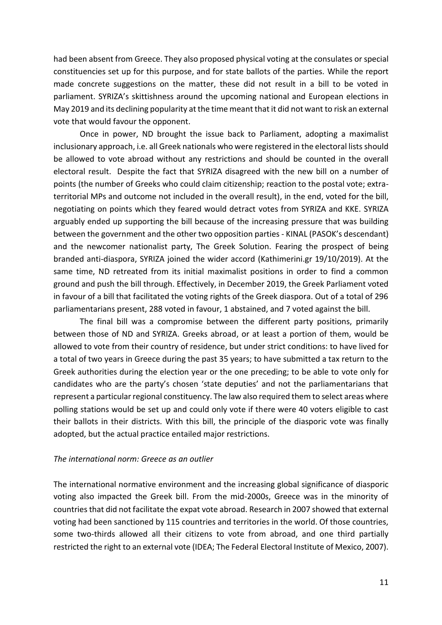had been absent from Greece. They also proposed physical voting at the consulates or special constituencies set up for this purpose, and for state ballots of the parties. While the report made concrete suggestions on the matter, these did not result in a bill to be voted in parliament. SYRIZA's skittishness around the upcoming national and European elections in May 2019 and its declining popularity at the time meant that it did not want to risk an external vote that would favour the opponent.

Once in power, ND brought the issue back to Parliament, adopting a maximalist inclusionary approach, i.e. all Greek nationals who were registered in the electoral listsshould be allowed to vote abroad without any restrictions and should be counted in the overall electoral result. Despite the fact that SYRIZA disagreed with the new bill on a number of points (the number of Greeks who could claim citizenship; reaction to the postal vote; extraterritorial MPs and outcome not included in the overall result), in the end, voted for the bill, negotiating on points which they feared would detract votes from SYRIZA and KKE. SYRIZA arguably ended up supporting the bill because of the increasing pressure that was building between the government and the other two opposition parties - KINAL (PASOK's descendant) and the newcomer nationalist party, The Greek Solution. Fearing the prospect of being branded anti-diaspora, SYRIZA joined the wider accord (Kathimerini.gr 19/10/2019). At the same time, ND retreated from its initial maximalist positions in order to find a common ground and push the bill through. Effectively, in December 2019, the Greek Parliament voted in favour of a bill that facilitated the voting rights of the Greek diaspora. Out of a total of 296 parliamentarians present, 288 voted in favour, 1 abstained, and 7 voted against the bill.

The final bill was a compromise between the different party positions, primarily between those of ND and SYRIZA. Greeks abroad, or at least a portion of them, would be allowed to vote from their country of residence, but under strict conditions: to have lived for a total of two years in Greece during the past 35 years; to have submitted a tax return to the Greek authorities during the election year or the one preceding; to be able to vote only for candidates who are the party's chosen 'state deputies' and not the parliamentarians that represent a particular regional constituency. The law also required them to select areas where polling stations would be set up and could only vote if there were 40 voters eligible to cast their ballots in their districts. With this bill, the principle of the diasporic vote was finally adopted, but the actual practice entailed major restrictions.

### *The international norm: Greece as an outlier*

The international normative environment and the increasing global significance of diasporic voting also impacted the Greek bill. From the mid-2000s, Greece was in the minority of countries that did not facilitate the expat vote abroad. Research in 2007 showed that external voting had been sanctioned by 115 countries and territories in the world. Of those countries, some two-thirds allowed all their citizens to vote from abroad, and one third partially restricted the right to an external vote (IDEA; The Federal Electoral Institute of Mexico, 2007).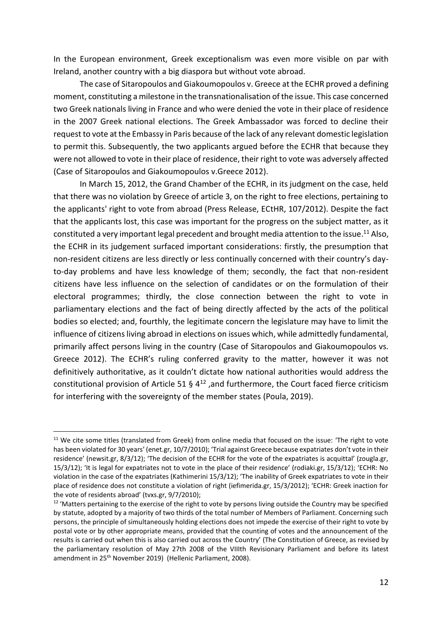In the European environment, Greek exceptionalism was even more visible on par with Ireland, another country with a big diaspora but without vote abroad.

The case of Sitaropoulos and Giakoumopoulos v. Greece at the ECHR proved a defining moment, constituting a milestone in the transnationalisation of the issue. This case concerned two Greek nationals living in France and who were denied the vote in their place of residence in the 2007 Greek national elections. The Greek Ambassador was forced to decline their request to vote at the Embassy in Paris because of the lack of any relevant domestic legislation to permit this. Subsequently, the two applicants argued before the ECHR that because they were not allowed to vote in their place of residence, their right to vote was adversely affected (Case of Sitaropoulos and Giakoumopoulos v.Greece 2012).

In March 15, 2012, the Grand Chamber of the ECHR, in its judgment on the case, held that there was no violation by Greece of article 3, on the right to free elections, pertaining to the applicants' right to vote from abroad (Press Release, ECtHR, 107/2012). Despite the fact that the applicants lost, this case was important for the progress on the subject matter, as it constituted a very important legal precedent and brought media attention to the issue. $^{11}$  Also, the ECHR in its judgement surfaced important considerations: firstly, the presumption that non-resident citizens are less directly or less continually concerned with their country's dayto-day problems and have less knowledge of them; secondly, the fact that non-resident citizens have less influence on the selection of candidates or on the formulation of their electoral programmes; thirdly, the close connection between the right to vote in parliamentary elections and the fact of being directly affected by the acts of the political bodies so elected; and, fourthly, the legitimate concern the legislature may have to limit the influence of citizens living abroad in elections on issues which, while admittedly fundamental, primarily affect persons living in the country (Case of Sitaropoulos and Giakoumopoulos vs. Greece 2012). The ECHR's ruling conferred gravity to the matter, however it was not definitively authoritative, as it couldn't dictate how national authorities would address the constitutional provision of Article 51 §  $4^{12}$  ,and furthermore, the Court faced fierce criticism for interfering with the sovereignty of the member states (Poula, 2019).

<sup>&</sup>lt;sup>11</sup> We cite some titles (translated from Greek) from online media that focused on the issue: 'The right to vote has been violated for 30 years' (enet.gr, 10/7/2010); 'Trial against Greece because expatriates don't vote in their residence' (newsit.gr, 8/3/12); 'The decision of the ECHR for the vote of the expatriates is acquittal' (zougla.gr, 15/3/12); 'It is legal for expatriates not to vote in the place of their residence' (rodiaki.gr, 15/3/12); 'ECHR: No violation in the case of the expatriates (Kathimerini 15/3/12); 'The inability of Greek expatriates to vote in their place of residence does not constitute a violation of right (iefimerida.gr, 15/3/2012); 'ECHR: Greek inaction for the vote of residents abroad' (tvxs.gr, 9/7/2010);

<sup>&</sup>lt;sup>12</sup> 'Matters pertaining to the exercise of the right to vote by persons living outside the Country may be specified by statute, adopted by a majority of two thirds of the total number of Members of Parliament. Concerning such persons, the principle of simultaneously holding elections does not impede the exercise of their right to vote by postal vote or by other appropriate means, provided that the counting of votes and the announcement of the results is carried out when this is also carried out across the Country' (The Constitution of Greece, as revised by the parliamentary resolution of May 27th 2008 of the VIIIth Revisionary Parliament and before its latest amendment in 25<sup>th</sup> November 2019) (Hellenic Parliament, 2008).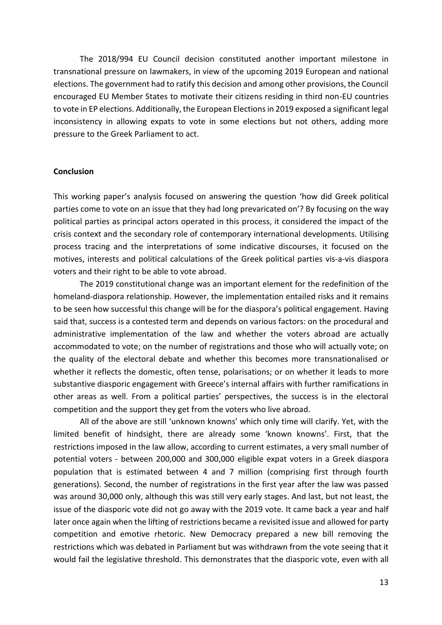Τhe 2018/994 EU Council decision constituted another important milestone in transnational pressure on lawmakers, in view of the upcoming 2019 European and national elections. The government had to ratify this decision and among other provisions, the Council encouraged EU Member States to motivate their citizens residing in third non-EU countries to vote in EP elections. Additionally, the European Elections in 2019 exposed a significant legal inconsistency in allowing expats to vote in some elections but not others, adding more pressure to the Greek Parliament to act.

### **Conclusion**

This working paper's analysis focused on answering the question 'how did Greek political parties come to vote on an issue that they had long prevaricated on'? By focusing on the way political parties as principal actors operated in this process, it considered the impact of the crisis context and the secondary role of contemporary international developments. Utilising process tracing and the interpretations of some indicative discourses, it focused on the motives, interests and political calculations of the Greek political parties vis-a-vis diaspora voters and their right to be able to vote abroad.

The 2019 constitutional change was an important element for the redefinition of the homeland-diaspora relationship. However, the implementation entailed risks and it remains to be seen how successful this change will be for the diaspora's political engagement. Having said that, success is a contested term and depends on various factors: on the procedural and administrative implementation of the law and whether the voters abroad are actually accommodated to vote; on the number of registrations and those who will actually vote; on the quality of the electoral debate and whether this becomes more transnationalised or whether it reflects the domestic, often tense, polarisations; or on whether it leads to more substantive diasporic engagement with Greece's internal affairs with further ramifications in other areas as well. From a political parties' perspectives, the success is in the electoral competition and the support they get from the voters who live abroad.

All of the above are still 'unknown knowns' which only time will clarify. Yet, with the limited benefit of hindsight, there are already some 'known knowns'. First, that the restrictions imposed in the law allow, according to current estimates, a very small number of potential voters - between 200,000 and 300,000 eligible expat voters in a Greek diaspora population that is estimated between 4 and 7 million (comprising first through fourth generations). Second, the number of registrations in the first year after the law was passed was around 30,000 only, although this was still very early stages. And last, but not least, the issue of the diasporic vote did not go away with the 2019 vote. It came back a year and half later once again when the lifting of restrictions became a revisited issue and allowed for party competition and emotive rhetoric. New Democracy prepared a new bill removing the restrictions which was debated in Parliament but was withdrawn from the vote seeing that it would fail the legislative threshold. This demonstrates that the diasporic vote, even with all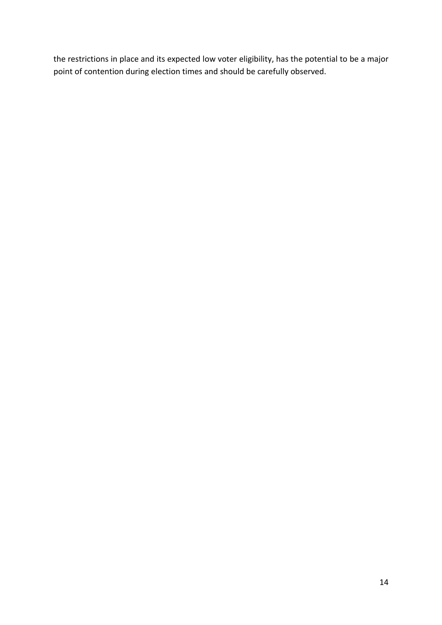the restrictions in place and its expected low voter eligibility, has the potential to be a major point of contention during election times and should be carefully observed.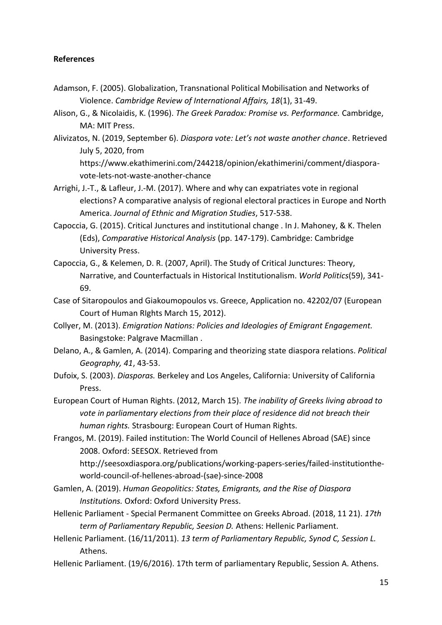# **References**

- Adamson, F. (2005). Globalization, Transnational Political Mobilisation and Networks of Violence. *Cambridge Review of International Affairs, 18*(1), 31-49.
- Alison, G., & Nicolaidis, K. (1996). *The Greek Paradox: Promise vs. Performance.* Cambridge, MA: MIT Press.
- Alivizatos, N. (2019, September 6). *Diaspora vote: Let's not waste another chance*. Retrieved July 5, 2020, from https://www.ekathimerini.com/244218/opinion/ekathimerini/comment/diasporavote-lets-not-waste-another-chance
- Arrighi, J.-T., & Lafleur, J.-M. (2017). Where and why can expatriates vote in regional elections? A comparative analysis of regional electoral practices in Europe and North America. *Journal of Ethnic and Migration Studies*, 517-538.
- Capoccia, G. (2015). Critical Junctures and institutional change . In J. Mahoney, & K. Thelen (Eds), *Comparative Historical Analysis* (pp. 147-179). Cambridge: Cambridge University Press.
- Capoccia, G., & Kelemen, D. R. (2007, April). The Study of Critical Junctures: Theory, Narrative, and Counterfactuals in Historical Institutionalism. *World Politics*(59), 341- 69.
- Case of Sitaropoulos and Giakoumopoulos vs. Greece, Application no. 42202/07 (European Court of Human RIghts March 15, 2012).
- Collyer, M. (2013). *Emigration Nations: Policies and Ideologies of Emigrant Engagement.* Basingstoke: Palgrave Macmillan .
- Delano, A., & Gamlen, A. (2014). Comparing and theorizing state diaspora relations. *Political Geography, 41*, 43-53.
- Dufoix, S. (2003). *Diasporas.* Berkeley and Los Angeles, California: University of California Press.
- European Court of Human Rights. (2012, March 15). *The inability of Greeks living abroad to vote in parliamentary elections from their place of residence did not breach their human rights.* Strasbourg: European Court of Human Rights.

Frangos, M. (2019). Failed institution: The World Council of Hellenes Abroad (SAE) since 2008. Oxford: SEESOX. Retrieved from http://seesoxdiaspora.org/publications/working-papers-series/failed-institutiontheworld-council-of-hellenes-abroad-(sae)-since-2008

- Gamlen, A. (2019). *Human Geopolitics: States, Emigrants, and the Rise of Diaspora Institutions.* Oxford: Oxford University Press.
- Hellenic Parliament Special Permanent Committee on Greeks Abroad. (2018, 11 21). *17th term of Parliamentary Republic, Seesion D.* Athens: Hellenic Parliament.
- Hellenic Parliament. (16/11/2011). *13 term of Parliamentary Republic, Synod C, Session L.* Athens.
- Hellenic Parliament. (19/6/2016). 17th term of parliamentary Republic, Session A. Athens.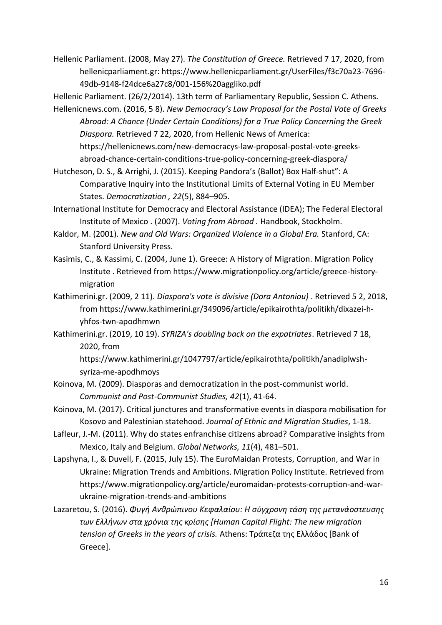Hellenic Parliament. (2008, May 27). *The Constitution of Greece.* Retrieved 7 17, 2020, from hellenicparliament.gr: https://www.hellenicparliament.gr/UserFiles/f3c70a23-7696- 49db-9148-f24dce6a27c8/001-156%20aggliko.pdf

Hellenic Parliament. (26/2/2014). 13th term of Parliamentary Republic, Session C. Athens.

Hellenicnews.com. (2016, 5 8). *New Democracy's Law Proposal for the Postal Vote of Greeks Abroad: A Chance (Under Certain Conditions) for a True Policy Concerning the Greek Diaspora.* Retrieved 7 22, 2020, from Hellenic News of America: https://hellenicnews.com/new-democracys-law-proposal-postal-vote-greeksabroad-chance-certain-conditions-true-policy-concerning-greek-diaspora/

Hutcheson, D. S., & Arrighi, J. (2015). Keeping Pandora's (Ballot) Box Half-shut": A Comparative Inquiry into the Institutional Limits of External Voting in EU Member States. *Democratization , 22*(5), 884–905.

International Institute for Democracy and Electoral Assistance (IDEA); The Federal Electoral Institute of Mexico . (2007). *Voting from Abroad .* Handbook, Stockholm.

- Kaldor, M. (2001). *New and Old Wars: Organized Violence in a Global Era.* Stanford, CA: Stanford University Press.
- Kasimis, C., & Kassimi, C. (2004, June 1). Greece: A History of Migration. Migration Policy Institute . Retrieved from https://www.migrationpolicy.org/article/greece-historymigration
- Kathimerini.gr. (2009, 2 11). *Diaspora's vote is divisive (Dora Antoniou)* . Retrieved 5 2, 2018, from https://www.kathimerini.gr/349096/article/epikairothta/politikh/dixazei-hyhfos-twn-apodhmwn
- Kathimerini.gr. (2019, 10 19). *SYRIZA's doubling back on the expatriates*. Retrieved 7 18, 2020, from

https://www.kathimerini.gr/1047797/article/epikairothta/politikh/anadiplwshsyriza-me-apodhmoys

- Koinova, M. (2009). Diasporas and democratization in the post-communist world. *Communist and Post-Communist Studies, 42*(1), 41-64.
- Koinova, M. (2017). Critical junctures and transformative events in diaspora mobilisation for Kosovo and Palestinian statehood. *Journal of Ethnic and Migration Studies*, 1-18.
- Lafleur, J.-M. (2011). Why do states enfranchise citizens abroad? Comparative insights from Mexico, Italy and Belgium. *Global Networks, 11*(4), 481–501.
- Lapshyna, I., & Duvell, F. (2015, July 15). The EuroMaidan Protests, Corruption, and War in Ukraine: Migration Trends and Ambitions. Migration Policy Institute. Retrieved from https://www.migrationpolicy.org/article/euromaidan-protests-corruption-and-warukraine-migration-trends-and-ambitions
- Lazaretou, S. (2016). *Φυγή Ανθρώπινου Κεφαλαίου: Η σύγχρονη τάση της μετανάοστευσης των Ελλήνων στα χρόνια της κρίσης [Human Capital Flight: The new migration tension of Greeks in the years of crisis.* Athens: Τράπεζα της Ελλάδος [Bank of Greece].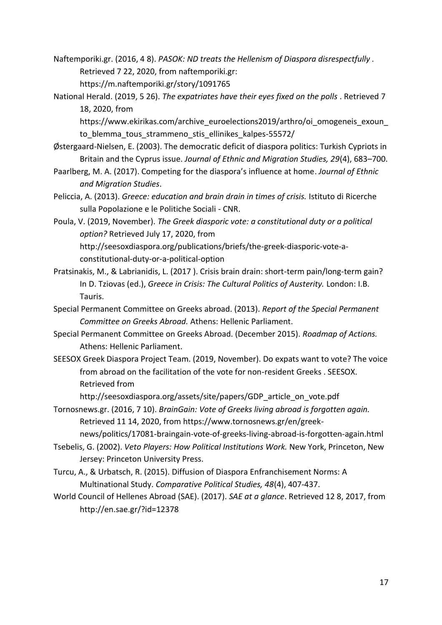Naftemporiki.gr. (2016, 4 8). *PASOK: ND treats the Hellenism of Diaspora disrespectfully .* Retrieved 7 22, 2020, from naftemporiki.gr: https://m.naftemporiki.gr/story/1091765

National Herald. (2019, 5 26). *The expatriates have their eyes fixed on the polls* . Retrieved 7 18, 2020, from

https://www.ekirikas.com/archive\_euroelections2019/arthro/oi\_omogeneis\_exoun\_ to blemma tous strammeno stis ellinikes kalpes-55572/

- Østergaard-Nielsen, E. (2003). The democratic deficit of diaspora politics: Turkish Cypriots in Britain and the Cyprus issue. *Journal of Ethnic and Migration Studies, 29*(4), 683–700.
- Paarlberg, M. A. (2017). Competing for the diaspora's influence at home. *Journal of Ethnic and Migration Studies*.
- Peliccia, A. (2013). *Greece: education and brain drain in times of crisis.* Istituto di Ricerche sulla Popolazione e le Politiche Sociali - CNR.
- Poula, V. (2019, November). *The Greek diasporic vote: a constitutional duty or a political option?* Retrieved July 17, 2020, from http://seesoxdiaspora.org/publications/briefs/the-greek-diasporic-vote-aconstitutional-duty-or-a-political-option
- Pratsinakis, M., & Labrianidis, L. (2017 ). Crisis brain drain: short-term pain/long-term gain? In D. Tziovas (ed.), *Greece in Crisis: The Cultural Politics of Austerity.* London: I.B. Tauris.
- Special Permanent Committee on Greeks abroad. (2013). *Report of the Special Permanent Committee on Greeks Abroad.* Athens: Hellenic Parliament.
- Special Permanent Committee on Greeks Abroad. (December 2015). *Roadmap of Actions.* Athens: Hellenic Parliament.
- SEESOX Greek Diaspora Project Team. (2019, November). Do expats want to vote? The voice from abroad on the facilitation of the vote for non-resident Greeks . SEESOX. Retrieved from

http://seesoxdiaspora.org/assets/site/papers/GDP\_article\_on\_vote.pdf

- Tornosnews.gr. (2016, 7 10). *BrainGain: Vote of Greeks living abroad is forgotten again.* Retrieved 11 14, 2020, from https://www.tornosnews.gr/en/greeknews/politics/17081-braingain-vote-of-greeks-living-abroad-is-forgotten-again.html
- Tsebelis, G. (2002). *Veto Players: How Political Institutions Work.* New York, Princeton, New Jersey: Princeton University Press.
- Turcu, A., & Urbatsch, R. (2015). Diffusion of Diaspora Enfranchisement Norms: A Multinational Study. *Comparative Political Studies, 48*(4), 407-437.
- World Council of Hellenes Abroad (SAE). (2017). *SAE at a glance*. Retrieved 12 8, 2017, from http://en.sae.gr/?id=12378